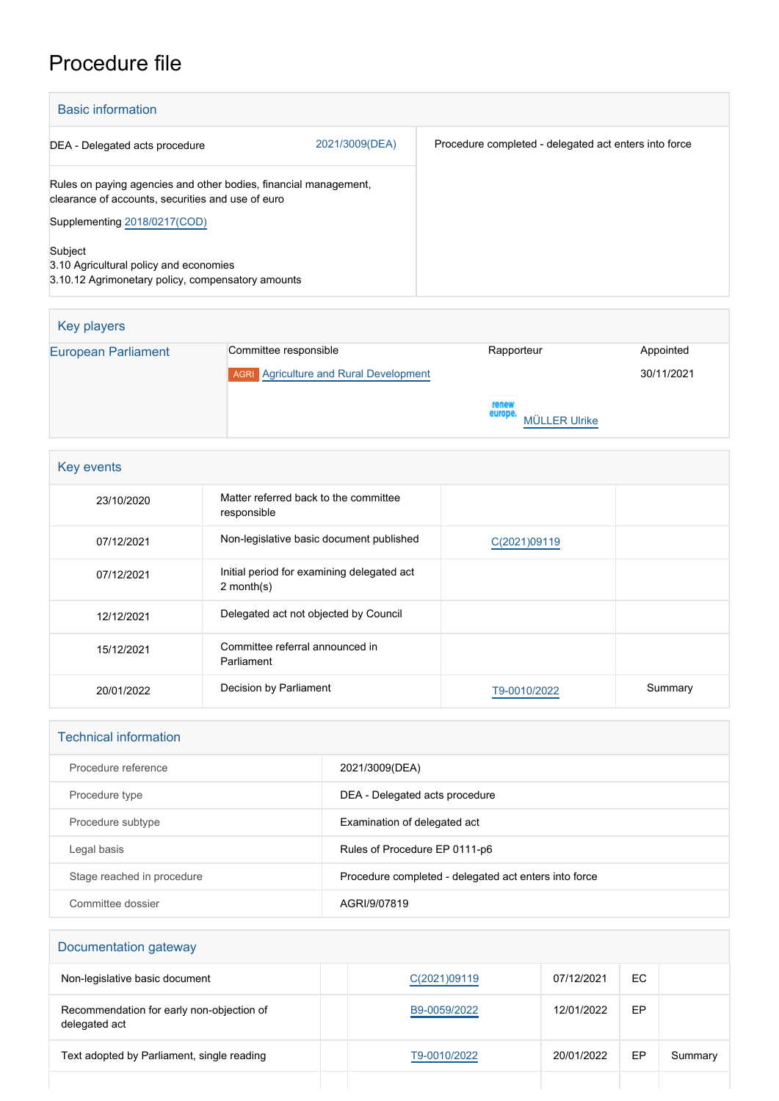## Procedure file

| <b>Basic information</b>                                                                                              |                |                                                       |  |  |
|-----------------------------------------------------------------------------------------------------------------------|----------------|-------------------------------------------------------|--|--|
| DEA - Delegated acts procedure                                                                                        | 2021/3009(DEA) | Procedure completed - delegated act enters into force |  |  |
| Rules on paying agencies and other bodies, financial management,<br>clearance of accounts, securities and use of euro |                |                                                       |  |  |
| Supplementing 2018/0217(COD)                                                                                          |                |                                                       |  |  |
| Subject<br>3.10 Agricultural policy and economies<br>3.10.12 Agrimonetary policy, compensatory amounts                |                |                                                       |  |  |

| Key players                |                                               |                                          |            |
|----------------------------|-----------------------------------------------|------------------------------------------|------------|
| <b>European Parliament</b> | Committee responsible                         | Rapporteur                               | Appointed  |
|                            | <b>AGRI</b> Agriculture and Rural Development |                                          | 30/11/2021 |
|                            |                                               | renew<br>europe.<br><b>MÜLLER Ulrike</b> |            |

| Key events |                                                            |              |         |  |  |
|------------|------------------------------------------------------------|--------------|---------|--|--|
| 23/10/2020 | Matter referred back to the committee<br>responsible       |              |         |  |  |
| 07/12/2021 | Non-legislative basic document published                   | C(2021)09119 |         |  |  |
| 07/12/2021 | Initial period for examining delegated act<br>$2$ month(s) |              |         |  |  |
| 12/12/2021 | Delegated act not objected by Council                      |              |         |  |  |
| 15/12/2021 | Committee referral announced in<br>Parliament              |              |         |  |  |
| 20/01/2022 | Decision by Parliament                                     | T9-0010/2022 | Summary |  |  |

## Technical information

| Procedure reference        | 2021/3009(DEA)                                        |
|----------------------------|-------------------------------------------------------|
| Procedure type             | DEA - Delegated acts procedure                        |
| Procedure subtype          | Examination of delegated act                          |
| Legal basis                | Rules of Procedure EP 0111-p6                         |
| Stage reached in procedure | Procedure completed - delegated act enters into force |
| Committee dossier          | AGRI/9/07819                                          |

## Documentation gateway

| Non-legislative basic document                             | C(2021)09119 | 07/12/2021 | EC. |         |
|------------------------------------------------------------|--------------|------------|-----|---------|
| Recommendation for early non-objection of<br>delegated act | B9-0059/2022 | 12/01/2022 | EP  |         |
| Text adopted by Parliament, single reading                 | T9-0010/2022 | 20/01/2022 | EP  | Summary |
|                                                            |              |            |     |         |